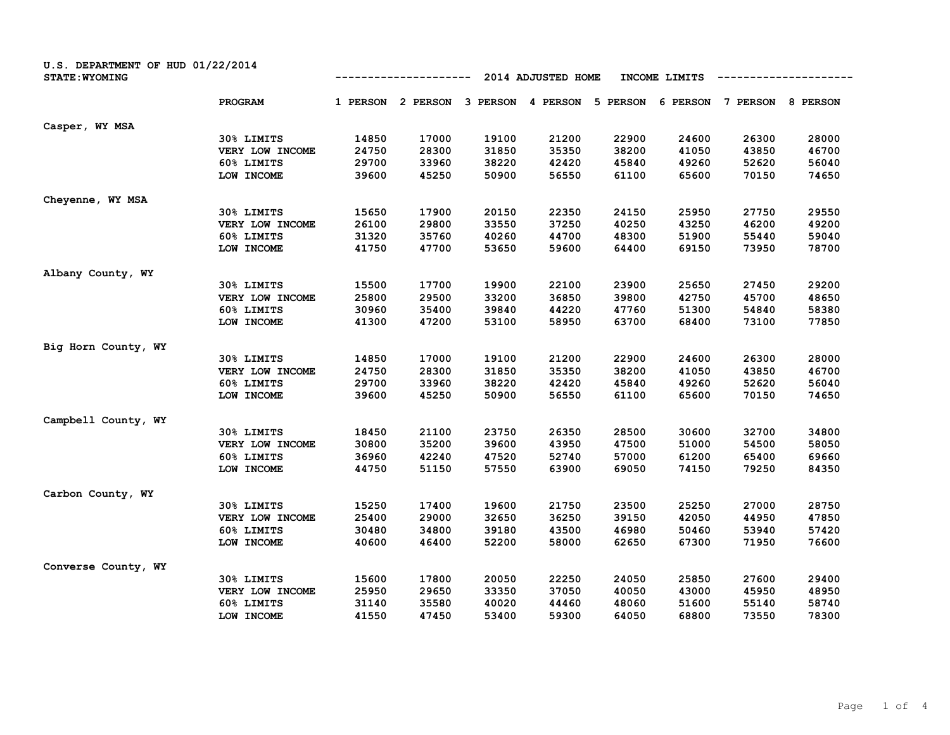| U.S. DEPARTMENT OF HUD 01/22/2014<br><b>STATE: WYOMING</b> |          |          |          | 2014 ADJUSTED HOME |          | INCOME LIMITS |          |          |
|------------------------------------------------------------|----------|----------|----------|--------------------|----------|---------------|----------|----------|
| <b>PROGRAM</b>                                             | 1 PERSON | 2 PERSON | 3 PERSON | 4 PERSON           | 5 PERSON | 6 PERSON      | 7 PERSON | 8 PERSON |
| Casper, WY MSA                                             |          |          |          |                    |          |               |          |          |
| 30% LIMITS                                                 | 14850    | 17000    | 19100    | 21200              | 22900    | 24600         | 26300    | 28000    |
| VERY LOW INCOME                                            | 24750    | 28300    | 31850    | 35350              | 38200    | 41050         | 43850    | 46700    |
| 60% LIMITS                                                 | 29700    | 33960    | 38220    | 42420              | 45840    | 49260         | 52620    | 56040    |
| LOW INCOME                                                 | 39600    | 45250    | 50900    | 56550              | 61100    | 65600         | 70150    | 74650    |
| Cheyenne, WY MSA                                           |          |          |          |                    |          |               |          |          |
| 30% LIMITS                                                 | 15650    | 17900    | 20150    | 22350              | 24150    | 25950         | 27750    | 29550    |
| VERY LOW INCOME                                            | 26100    | 29800    | 33550    | 37250              | 40250    | 43250         | 46200    | 49200    |
| 60% LIMITS                                                 | 31320    | 35760    | 40260    | 44700              | 48300    | 51900         | 55440    | 59040    |
| LOW INCOME                                                 | 41750    | 47700    | 53650    | 59600              | 64400    | 69150         | 73950    | 78700    |
| Albany County, WY                                          |          |          |          |                    |          |               |          |          |
| 30% LIMITS                                                 | 15500    | 17700    | 19900    | 22100              | 23900    | 25650         | 27450    | 29200    |
| VERY LOW INCOME                                            | 25800    | 29500    | 33200    | 36850              | 39800    | 42750         | 45700    | 48650    |
| 60% LIMITS                                                 | 30960    | 35400    | 39840    | 44220              | 47760    | 51300         | 54840    | 58380    |
| LOW INCOME                                                 | 41300    | 47200    | 53100    | 58950              | 63700    | 68400         | 73100    | 77850    |
| Big Horn County, WY                                        |          |          |          |                    |          |               |          |          |
| 30% LIMITS                                                 | 14850    | 17000    | 19100    | 21200              | 22900    | 24600         | 26300    | 28000    |
| VERY LOW INCOME                                            | 24750    | 28300    | 31850    | 35350              | 38200    | 41050         | 43850    | 46700    |
| 60% LIMITS                                                 | 29700    | 33960    | 38220    | 42420              | 45840    | 49260         | 52620    | 56040    |
| LOW INCOME                                                 | 39600    | 45250    | 50900    | 56550              | 61100    | 65600         | 70150    | 74650    |
| Campbell County, WY                                        |          |          |          |                    |          |               |          |          |
| 30% LIMITS                                                 | 18450    | 21100    | 23750    | 26350              | 28500    | 30600         | 32700    | 34800    |
| VERY LOW INCOME                                            | 30800    | 35200    | 39600    | 43950              | 47500    | 51000         | 54500    | 58050    |
| 60% LIMITS                                                 | 36960    | 42240    | 47520    | 52740              | 57000    | 61200         | 65400    | 69660    |
| LOW INCOME                                                 | 44750    | 51150    | 57550    | 63900              | 69050    | 74150         | 79250    | 84350    |
| Carbon County, WY                                          |          |          |          |                    |          |               |          |          |
| 30% LIMITS                                                 | 15250    | 17400    | 19600    | 21750              | 23500    | 25250         | 27000    | 28750    |
| VERY LOW INCOME                                            | 25400    | 29000    | 32650    | 36250              | 39150    | 42050         | 44950    | 47850    |
| 60% LIMITS                                                 | 30480    | 34800    | 39180    | 43500              | 46980    | 50460         | 53940    | 57420    |
| LOW INCOME                                                 | 40600    | 46400    | 52200    | 58000              | 62650    | 67300         | 71950    | 76600    |
| Converse County, WY                                        |          |          |          |                    |          |               |          |          |
| 30% LIMITS                                                 | 15600    | 17800    | 20050    | 22250              | 24050    | 25850         | 27600    | 29400    |
| VERY LOW INCOME                                            | 25950    | 29650    | 33350    | 37050              | 40050    | 43000         | 45950    | 48950    |
| 60% LIMITS                                                 | 31140    | 35580    | 40020    | 44460              | 48060    | 51600         | 55140    | 58740    |
| LOW INCOME                                                 | 41550    | 47450    | 53400    | 59300              | 64050    | 68800         | 73550    | 78300    |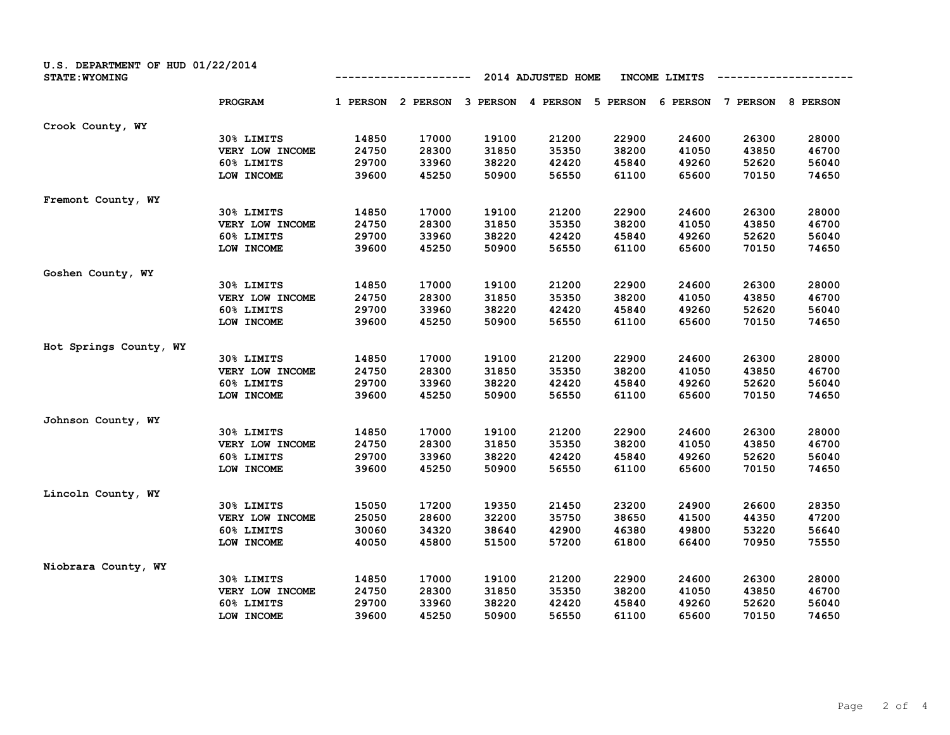| U.S. DEPARTMENT OF HUD 01/22/2014<br><b>STATE: WYOMING</b> |                 | 2014 ADJUSTED HOME<br>INCOME LIMITS |          |          |          |          |          |          |          |
|------------------------------------------------------------|-----------------|-------------------------------------|----------|----------|----------|----------|----------|----------|----------|
|                                                            | <b>PROGRAM</b>  | 1 PERSON                            | 2 PERSON | 3 PERSON | 4 PERSON | 5 PERSON | 6 PERSON | 7 PERSON | 8 PERSON |
| Crook County, WY                                           |                 |                                     |          |          |          |          |          |          |          |
|                                                            | 30% LIMITS      | 14850                               | 17000    | 19100    | 21200    | 22900    | 24600    | 26300    | 28000    |
|                                                            | VERY LOW INCOME | 24750                               | 28300    | 31850    | 35350    | 38200    | 41050    | 43850    | 46700    |
|                                                            | 60% LIMITS      | 29700                               | 33960    | 38220    | 42420    | 45840    | 49260    | 52620    | 56040    |
|                                                            | LOW INCOME      | 39600                               | 45250    | 50900    | 56550    | 61100    | 65600    | 70150    | 74650    |
| Fremont County, WY                                         |                 |                                     |          |          |          |          |          |          |          |
|                                                            | 30% LIMITS      | 14850                               | 17000    | 19100    | 21200    | 22900    | 24600    | 26300    | 28000    |
|                                                            | VERY LOW INCOME | 24750                               | 28300    | 31850    | 35350    | 38200    | 41050    | 43850    | 46700    |
|                                                            | 60% LIMITS      | 29700                               | 33960    | 38220    | 42420    | 45840    | 49260    | 52620    | 56040    |
|                                                            | LOW INCOME      | 39600                               | 45250    | 50900    | 56550    | 61100    | 65600    | 70150    | 74650    |
| Goshen County, WY                                          |                 |                                     |          |          |          |          |          |          |          |
|                                                            | 30% LIMITS      | 14850                               | 17000    | 19100    | 21200    | 22900    | 24600    | 26300    | 28000    |
|                                                            | VERY LOW INCOME | 24750                               | 28300    | 31850    | 35350    | 38200    | 41050    | 43850    | 46700    |
|                                                            | 60% LIMITS      | 29700                               | 33960    | 38220    | 42420    | 45840    | 49260    | 52620    | 56040    |
|                                                            | LOW INCOME      | 39600                               | 45250    | 50900    | 56550    | 61100    | 65600    | 70150    | 74650    |
| Hot Springs County, WY                                     |                 |                                     |          |          |          |          |          |          |          |
|                                                            | 30% LIMITS      | 14850                               | 17000    | 19100    | 21200    | 22900    | 24600    | 26300    | 28000    |
|                                                            | VERY LOW INCOME | 24750                               | 28300    | 31850    | 35350    | 38200    | 41050    | 43850    | 46700    |
|                                                            | 60% LIMITS      | 29700                               | 33960    | 38220    | 42420    | 45840    | 49260    | 52620    | 56040    |
|                                                            | LOW INCOME      | 39600                               | 45250    | 50900    | 56550    | 61100    | 65600    | 70150    | 74650    |
| Johnson County, WY                                         |                 |                                     |          |          |          |          |          |          |          |
|                                                            | 30% LIMITS      | 14850                               | 17000    | 19100    | 21200    | 22900    | 24600    | 26300    | 28000    |
|                                                            | VERY LOW INCOME | 24750                               | 28300    | 31850    | 35350    | 38200    | 41050    | 43850    | 46700    |
|                                                            | 60% LIMITS      | 29700                               | 33960    | 38220    | 42420    | 45840    | 49260    | 52620    | 56040    |
|                                                            | LOW INCOME      | 39600                               | 45250    | 50900    | 56550    | 61100    | 65600    | 70150    | 74650    |
| Lincoln County, WY                                         |                 |                                     |          |          |          |          |          |          |          |
|                                                            | 30% LIMITS      | 15050                               | 17200    | 19350    | 21450    | 23200    | 24900    | 26600    | 28350    |
|                                                            | VERY LOW INCOME | 25050                               | 28600    | 32200    | 35750    | 38650    | 41500    | 44350    | 47200    |
|                                                            | 60% LIMITS      | 30060                               | 34320    | 38640    | 42900    | 46380    | 49800    | 53220    | 56640    |
|                                                            | LOW INCOME      | 40050                               | 45800    | 51500    | 57200    | 61800    | 66400    | 70950    | 75550    |
| Niobrara County, WY                                        |                 |                                     |          |          |          |          |          |          |          |
|                                                            | 30% LIMITS      | 14850                               | 17000    | 19100    | 21200    | 22900    | 24600    | 26300    | 28000    |
|                                                            | VERY LOW INCOME | 24750                               | 28300    | 31850    | 35350    | 38200    | 41050    | 43850    | 46700    |
|                                                            | 60% LIMITS      | 29700                               | 33960    | 38220    | 42420    | 45840    | 49260    | 52620    | 56040    |
|                                                            | LOW INCOME      | 39600                               | 45250    | 50900    | 56550    | 61100    | 65600    | 70150    | 74650    |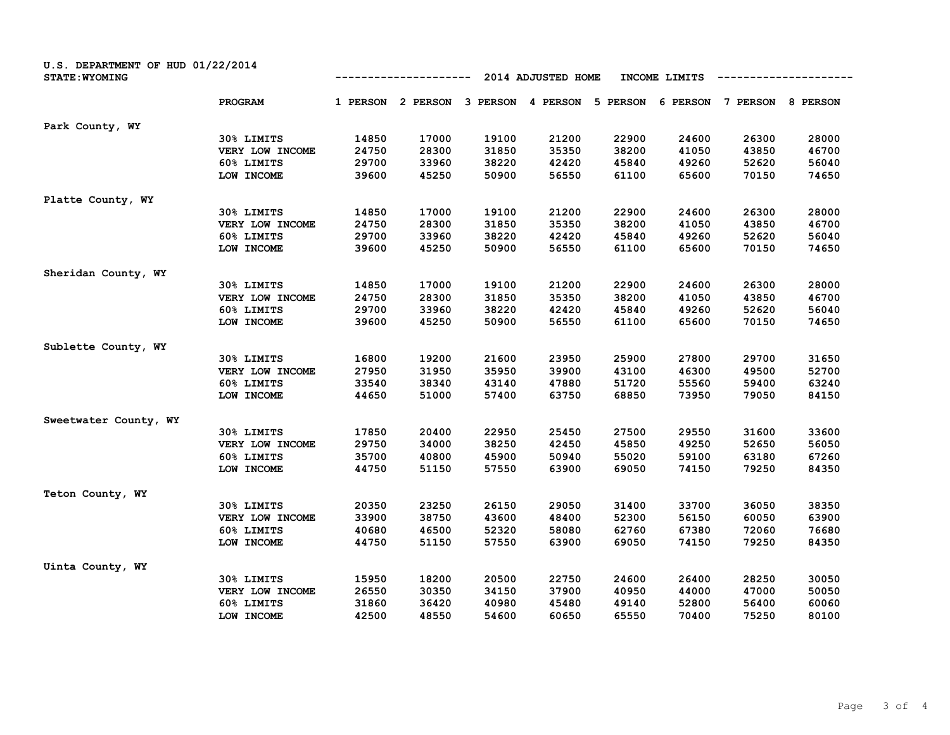| U.S. DEPARTMENT OF HUD 01/22/2014<br><b>STATE: WYOMING</b> |                 |          |          |          | 2014 ADJUSTED HOME |          | INCOME LIMITS |          |          |
|------------------------------------------------------------|-----------------|----------|----------|----------|--------------------|----------|---------------|----------|----------|
|                                                            | PROGRAM         | 1 PERSON | 2 PERSON | 3 PERSON | 4 PERSON           | 5 PERSON | 6 PERSON      | 7 PERSON | 8 PERSON |
| Park County, WY                                            |                 |          |          |          |                    |          |               |          |          |
|                                                            | 30% LIMITS      | 14850    | 17000    | 19100    | 21200              | 22900    | 24600         | 26300    | 28000    |
|                                                            | VERY LOW INCOME | 24750    | 28300    | 31850    | 35350              | 38200    | 41050         | 43850    | 46700    |
|                                                            | 60% LIMITS      | 29700    | 33960    | 38220    | 42420              | 45840    | 49260         | 52620    | 56040    |
|                                                            | LOW INCOME      | 39600    | 45250    | 50900    | 56550              | 61100    | 65600         | 70150    | 74650    |
| Platte County, WY                                          |                 |          |          |          |                    |          |               |          |          |
|                                                            | 30% LIMITS      | 14850    | 17000    | 19100    | 21200              | 22900    | 24600         | 26300    | 28000    |
|                                                            | VERY LOW INCOME | 24750    | 28300    | 31850    | 35350              | 38200    | 41050         | 43850    | 46700    |
|                                                            | 60% LIMITS      | 29700    | 33960    | 38220    | 42420              | 45840    | 49260         | 52620    | 56040    |
|                                                            | LOW INCOME      | 39600    | 45250    | 50900    | 56550              | 61100    | 65600         | 70150    | 74650    |
| Sheridan County, WY                                        |                 |          |          |          |                    |          |               |          |          |
|                                                            | 30% LIMITS      | 14850    | 17000    | 19100    | 21200              | 22900    | 24600         | 26300    | 28000    |
|                                                            | VERY LOW INCOME | 24750    | 28300    | 31850    | 35350              | 38200    | 41050         | 43850    | 46700    |
|                                                            | 60% LIMITS      | 29700    | 33960    | 38220    | 42420              | 45840    | 49260         | 52620    | 56040    |
|                                                            | LOW INCOME      | 39600    | 45250    | 50900    | 56550              | 61100    | 65600         | 70150    | 74650    |
| Sublette County, WY                                        |                 |          |          |          |                    |          |               |          |          |
|                                                            | 30% LIMITS      | 16800    | 19200    | 21600    | 23950              | 25900    | 27800         | 29700    | 31650    |
|                                                            | VERY LOW INCOME | 27950    | 31950    | 35950    | 39900              | 43100    | 46300         | 49500    | 52700    |
|                                                            | 60% LIMITS      | 33540    | 38340    | 43140    | 47880              | 51720    | 55560         | 59400    | 63240    |
|                                                            | LOW INCOME      | 44650    | 51000    | 57400    | 63750              | 68850    | 73950         | 79050    | 84150    |
| Sweetwater County, WY                                      |                 |          |          |          |                    |          |               |          |          |
|                                                            | 30% LIMITS      | 17850    | 20400    | 22950    | 25450              | 27500    | 29550         | 31600    | 33600    |
|                                                            | VERY LOW INCOME | 29750    | 34000    | 38250    | 42450              | 45850    | 49250         | 52650    | 56050    |
|                                                            | 60% LIMITS      | 35700    | 40800    | 45900    | 50940              | 55020    | 59100         | 63180    | 67260    |
|                                                            | LOW INCOME      | 44750    | 51150    | 57550    | 63900              | 69050    | 74150         | 79250    | 84350    |
| Teton County, WY                                           |                 |          |          |          |                    |          |               |          |          |
|                                                            | 30% LIMITS      | 20350    | 23250    | 26150    | 29050              | 31400    | 33700         | 36050    | 38350    |
|                                                            | VERY LOW INCOME | 33900    | 38750    | 43600    | 48400              | 52300    | 56150         | 60050    | 63900    |
|                                                            | 60% LIMITS      | 40680    | 46500    | 52320    | 58080              | 62760    | 67380         | 72060    | 76680    |
|                                                            | LOW INCOME      | 44750    | 51150    | 57550    | 63900              | 69050    | 74150         | 79250    | 84350    |
| Uinta County, WY                                           |                 |          |          |          |                    |          |               |          |          |
|                                                            | 30% LIMITS      | 15950    | 18200    | 20500    | 22750              | 24600    | 26400         | 28250    | 30050    |
|                                                            | VERY LOW INCOME | 26550    | 30350    | 34150    | 37900              | 40950    | 44000         | 47000    | 50050    |
|                                                            | 60% LIMITS      | 31860    | 36420    | 40980    | 45480              | 49140    | 52800         | 56400    | 60060    |
|                                                            | LOW INCOME      | 42500    | 48550    | 54600    | 60650              | 65550    | 70400         | 75250    | 80100    |